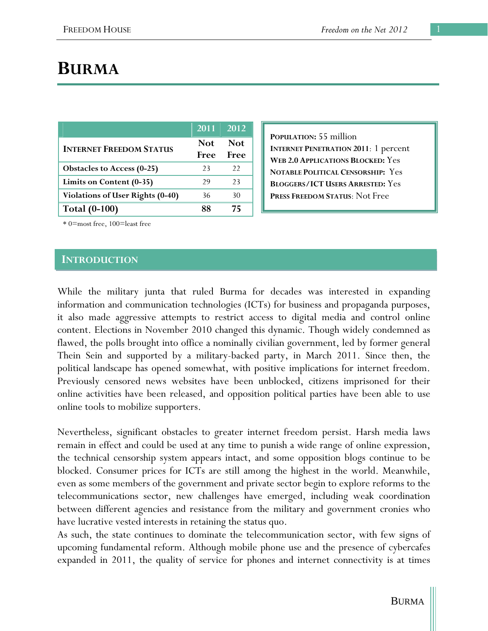# **BURMA**

|                                         | 2011 2012          |                    |
|-----------------------------------------|--------------------|--------------------|
| <b>INTERNET FREEDOM STATUS</b>          | <b>Not</b><br>Free | <b>Not</b><br>Free |
| <b>Obstacles to Access (0-25)</b>       | 23                 | 22                 |
| Limits on Content (0-35)                | 29                 | 23                 |
| <b>Violations of User Rights (0-40)</b> | 36                 | 30                 |
| <b>Total (0-100)</b>                    |                    | 75                 |

**POPULATION:** 55 million **INTERNET PENETRATION 2011**: 1 percent **WEB 2.0 APPLICATIONS BLOCKED:** Yes **NOTABLE POLITICAL CENSORSHIP:** Yes **BLOGGERS/ICT USERS ARRESTED:** Yes **PRESS FREEDOM STATUS**: Not Free

\* 0=most free, 100=least free

#### **INTRODUCTION**

While the military junta that ruled Burma for decades was interested in expanding information and communication technologies (ICTs) for business and propaganda purposes, it also made aggressive attempts to restrict access to digital media and control online content. Elections in November 2010 changed this dynamic. Though widely condemned as flawed, the polls brought into office a nominally civilian government, led by former general Thein Sein and supported by a military-backed party, in March 2011. Since then, the political landscape has opened somewhat, with positive implications for internet freedom. Previously censored news websites have been unblocked, citizens imprisoned for their online activities have been released, and opposition political parties have been able to use online tools to mobilize supporters.

Nevertheless, significant obstacles to greater internet freedom persist. Harsh media laws remain in effect and could be used at any time to punish a wide range of online expression, the technical censorship system appears intact, and some opposition blogs continue to be blocked. Consumer prices for ICTs are still among the highest in the world. Meanwhile, even as some members of the government and private sector begin to explore reforms to the telecommunications sector, new challenges have emerged, including weak coordination between different agencies and resistance from the military and government cronies who have lucrative vested interests in retaining the status quo.

As such, the state continues to dominate the telecommunication sector, with few signs of upcoming fundamental reform. Although mobile phone use and the presence of cybercafes expanded in 2011, the quality of service for phones and internet connectivity is at times

BURMA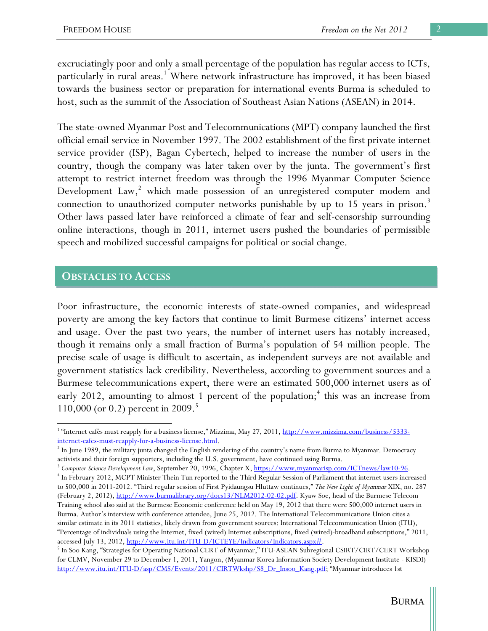excruciatingly poor and only a small percentage of the population has regular access to ICTs, particularly in rural areas.<sup>1</sup> Where network infrastructure has improved, it has been biased towards the business sector or preparation for international events Burma is scheduled to host, such as the summit of the Association of Southeast Asian Nations (ASEAN) in 2014.

The state-owned Myanmar Post and Telecommunications (MPT) company launched the first official email service in November 1997. The 2002 establishment of the first private internet service provider (ISP), Bagan Cybertech, helped to increase the number of users in the country, though the company was later taken over by the junta. The government's first attempt to restrict internet freedom was through the 1996 Myanmar Computer Science Development  $Law, ^2$  which made possession of an unregistered computer modem and connection to unauthorized computer networks punishable by up to 15 years in prison.<sup>3</sup> Other laws passed later have reinforced a climate of fear and self-censorship surrounding online interactions, though in 2011, internet users pushed the boundaries of permissible speech and mobilized successful campaigns for political or social change.

#### **OBSTACLES TO ACCESS**

 $\overline{a}$ 

Poor infrastructure, the economic interests of state-owned companies, and widespread poverty are among the key factors that continue to limit Burmese citizens' internet access and usage. Over the past two years, the number of internet users has notably increased, though it remains only a small fraction of Burma's population of 54 million people. The precise scale of usage is difficult to ascertain, as independent surveys are not available and government statistics lack credibility. Nevertheless, according to government sources and a Burmese telecommunications expert, there were an estimated 500,000 internet users as of early 2012, amounting to almost 1 percent of the population;<sup>4</sup> this was an increase from 110,000 (or 0.2) percent in 2009.<sup>5</sup>

<sup>&</sup>lt;sup>1</sup> "Internet cafés must reapply for a business license," Mizzima, May 27, 2011, http://www.mizzima.com/business/5333internet-cafes-must-reapply-for-a-business-license.html.

 $I<sup>2</sup>$  In June 1989, the military junta changed the English rendering of the country's name from Burma to Myanmar. Democracy

activists and their foreign supporters, including the U.S. government, have continued using Burma.<br><sup>3</sup> *Computer Science Development Law*, September 20, 1996, Chapter X, <u>https://www.myanmarisp.com/ICTnews/law10-96</u>.

<sup>&</sup>lt;sup>4</sup> In February 2012, MCPT Minister Thein Tun reported to the Third Regular Session of Parliament that internet users increased to 500,000 in 2011-2012. "Third regular session of First Pyidaungsu Hluttaw continues," *The New Light of Myanmar* XIX, no. 287 (February 2, 2012), http://www.burmalibrary.org/docs13/NLM2012-02-02.pdf. Kyaw Soe, head of the Burmese Telecom Training school also said at the Burmese Economic conference held on May 19, 2012 that there were 500,000 internet users in Burma. Author's interview with conference attendee, June 25, 2012. The International Telecommunications Union cites a similar estimate in its 2011 statistics, likely drawn from government sources: International Telecommunication Union (ITU), "Percentage of individuals using the Internet, fixed (wired) Internet subscriptions, fixed (wired)-broadband subscriptions," 2011, accessed July 13, 2012, http://www.itu.int/ITU-D/ICTEYE/Indicators/Indicators.aspx#.

<sup>&</sup>lt;sup>5</sup> In Soo Kang, "Strategies for Operating National CERT of Myanmar," ITU-ASEAN Subregional CSIRT/CIRT/CERT Workshop for CLMV, November 29 to December 1, 2011, Yangon, (Myanmar Korea Information Society Development Institute - KISDI) http://www.itu.int/ITU-D/asp/CMS/Events/2011/CIRTWkshp/S8\_Dr\_Insoo\_Kang.pdf; "Myanmar introduces 1st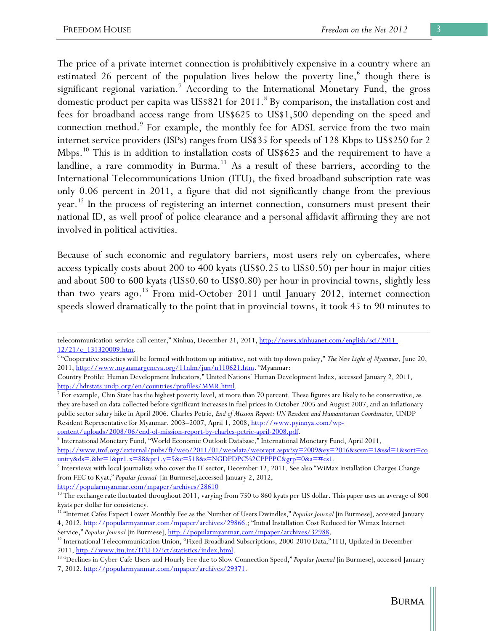The price of a private internet connection is prohibitively expensive in a country where an estimated 26 percent of the population lives below the poverty line,<sup>6</sup> though there is significant regional variation.<sup>7</sup> According to the International Monetary Fund, the gross domestic product per capita was US\$821 for 2011.<sup>8</sup> By comparison, the installation cost and fees for broadband access range from US\$625 to US\$1,500 depending on the speed and connection method.<sup>9</sup> For example, the monthly fee for ADSL service from the two main internet service providers (ISPs) ranges from US\$35 for speeds of 128 Kbps to US\$250 for 2 Mbps.<sup>10</sup> This is in addition to installation costs of US\$625 and the requirement to have a landline, a rare commodity in Burma.<sup>11</sup> As a result of these barriers, according to the International Telecommunications Union (ITU), the fixed broadband subscription rate was only 0.06 percent in 2011, a figure that did not significantly change from the previous year.<sup>12</sup> In the process of registering an internet connection, consumers must present their national ID, as well proof of police clearance and a personal affidavit affirming they are not involved in political activities.

Because of such economic and regulatory barriers, most users rely on cybercafes, where access typically costs about 200 to 400 kyats (US\$0.25 to US\$0.50) per hour in major cities and about 500 to 600 kyats (US\$0.60 to US\$0.80) per hour in provincial towns, slightly less than two years ago.<sup>13</sup> From mid-October 2011 until January 2012, internet connection speeds slowed dramatically to the point that in provincial towns, it took 45 to 90 minutes to

telecommunication service call center," Xinhua, December 21, 2011, http://news.xinhuanet.com/english/sci/2011-12/21/c\_131320009.htm.

 <sup>&</sup>quot;Cooperative societies will be formed with bottom up initiative, not with top down policy," *The New Light of Myanmar*, June 20, 2011, http://www.myanmargeneva.org/11nlm/jun/n110621.htm. "Myanmar:

Country Profile: Human Development Indicators," United Nations' Human Development Index, accessed January 2, 2011, http://hdrstats.undp.org/en/countries/profiles/MMR.html.

 $7$  For example, Chin State has the highest poverty level, at more than 70 percent. These figures are likely to be conservative, as they are based on data collected before significant increases in fuel prices in October 2005 and August 2007, and an inflationary public sector salary hike in April 2006. Charles Petrie, *End of Mission Report: UN Resident and Humanitarian Coordinator*, UNDP Resident Representative for Myanmar, 2003–2007, April 1, 2008, http://www.pyinnya.com/wpcontent/uploads/2008/06/end-of-mission-report-by-charles-petrie-april-2008.pdf.

International Monetary Fund, "World Economic Outlook Database," International Monetary Fund, April 2011, http://www.imf.org/external/pubs/ft/weo/2011/01/weodata/weorept.aspx?sy=2009&ey=2016&scsm=1&ssd=1&sort=co untry&ds=.&br=1&pr1.x=88&pr1.y=5&c=518&s=NGDPDPC%2CPPPPC&grp=0&a=#cs1.

<sup>&</sup>lt;sup>9</sup> Interviews with local journalists who cover the IT sector, December 12, 2011. See also "WiMax Installation Charges Change from FEC to Kyat," *Popular Journal* [in Burmese],accessed January 2, 2012,

http://popularmyanmar.com/mpaper/archives/28610<br><sup>10</sup> The exchange rate fluctuated throughout 2011, varying from 750 to 860 kyats per US dollar. This paper uses an average of 800 kyats per dollar for consistency.

<sup>&</sup>lt;sup>11</sup> "Internet Cafes Expect Lower Monthly Fee as the Number of Users Dwindles," *Popular Journal* [in Burmese], accessed January 4, 2012, http://popularmyanmar.com/mpaper/archives/29866.; "Initial Installation Cost Reduced for Wimax Internet

Service," *Popular Journal* [in Burmese], <u>http://popularmyanmar.com/mpaper/archives/32988</u>.<br><sup>12</sup> International Telecommunication Union, "Fixed Broadband Subscriptions, 2000-2010 Data," ITU, Updated in December

<sup>2011,</sup> http://www.itu.int/ITU-D/ict/statistics/index.html. 13 "Declines in Cyber Cafe Users and Hourly Fee due to Slow Connection Speed," *Popular Journal* [in Burmese], accessed January 7, 2012, http://popularmyanmar.com/mpaper/archives/29371.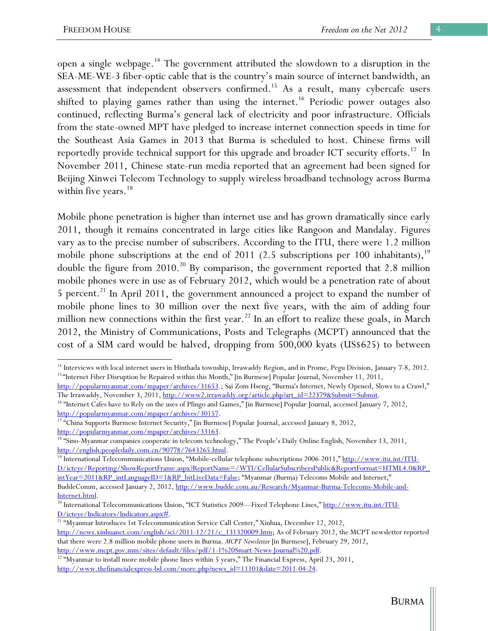$\overline{a}$ 

open a single webpage.14 The government attributed the slowdown to a disruption in the SEA-ME-WE-3 fiber-optic cable that is the country's main source of internet bandwidth, an assessment that independent observers confirmed.<sup>15</sup> As a result, many cybercafe users shifted to playing games rather than using the internet.<sup>16</sup> Periodic power outages also continued, reflecting Burma's general lack of electricity and poor infrastructure. Officials from the state-owned MPT have pledged to increase internet connection speeds in time for the Southeast Asia Games in 2013 that Burma is scheduled to host. Chinese firms will reportedly provide technical support for this upgrade and broader ICT security efforts.<sup>17</sup> In November 2011, Chinese state-run media reported that an agreement had been signed for Beijing Xinwei Telecom Technology to supply wireless broadband technology across Burma within five years. $18$ 

Mobile phone penetration is higher than internet use and has grown dramatically since early 2011, though it remains concentrated in large cities like Rangoon and Mandalay. Figures vary as to the precise number of subscribers. According to the ITU, there were 1.2 million mobile phone subscriptions at the end of 2011 (2.5 subscriptions per 100 inhabitants), $19$ double the figure from  $2010<sup>20</sup>$  By comparison, the government reported that 2.8 million mobile phones were in use as of February 2012, which would be a penetration rate of about 5 percent.<sup>21</sup> In April 2011, the government announced a project to expand the number of mobile phone lines to 30 million over the next five years, with the aim of adding four million new connections within the first year.<sup>22</sup> In an effort to realize these goals, in March 2012, the Ministry of Communications, Posts and Telegraphs (MCPT) announced that the cost of a SIM card would be halved, dropping from 500,000 kyats (US\$625) to between

<sup>&</sup>lt;sup>14</sup> Interviews with local internet users in Hinthada township, Irrawaddy Region, and in Prome, Pegu Division, January 7-8, 2012.<br><sup>15</sup> "Internet Fiber Disruption be Repaired within this Month," [in Burmese] Popular Journa

http://popularmyanmar.com/mpaper/archives/31653.; Sai Zom Hseng, "Burma's Internet, Newly Opened, Slows to a Crawl,"

The Irrawaddy, November 3, 2011, <u>http://www2.irrawaddy.org/article.php?art\_id=22379&Submit=Submit</u>. <sup>16</sup> "Internet Cafes have to Rely on the uses of Pfingo and Games," [in Burmese] Popular Journal, accessed January 7, 201

http://popularmyanmar.com/mpaper/archives/30157.<br><sup>17</sup> "China Supports Burmese Internet Security," [in Burmese] Popular Journal, accessed January 8, 2012,

http://popularmyanmar.com/mpaper/archives/33163.<br><sup>18</sup> "Sino-Myanmar companies cooperate in telecom technology," The People's Daily Online English, November 13, 2011,

http://english.peopledaily.com.cn/90778/7643265.html.<br><sup>19</sup> International Telecommunications Union, "Mobile-cellular telephone subscriptions 2006-2011," <u>http://www.itu.int/ITU-</u> D/icteye/Reporting/ShowReportFrame.aspx?ReportName=/WTI/CellularSubscribersPublic&ReportFormat=HTML4.0&RP\_ intYear=2011&RP\_intLanguageID=1&RP\_bitLiveData=False; "Myanmar (Burma) Telecoms Mobile and Internet," BuddeComm, accessed January 2, 2012, http://www.budde.com.au/Research/Myanmar-Burma-Telecoms-Mobile-and-

Internet.html. 20 International Telecommunications Union, "ICT Statistics 2009—Fixed Telephone Lines," http://www.itu.int/ITU-

D/icteye/Indicators/Indicators.aspx#. 21 "Myanmar Introduces 1st Telecommunication Service Call Center," Xinhua, December 12, 2012,

http://news.xinhuanet.com/english/sci/2011-12/21/c\_131320009.htm; As of February 2012, the MCPT newsletter reported that there were 2.8 million mobile phone users in Burma. *MCPT Newsletter* [in Burmese], February 29, 2012,

http://www.mcpt.gov.mm/sites/default/files/pdf/1-1%20Smart-News-Journal%20.pdf.<br><sup>22</sup> "Myanmar to install more mobile phone lines within 5 years," The Financial Express, April 23, 2011, http://www.thefinancialexpress-bd.com/more.php?news\_id=11101&date=2011-04-24.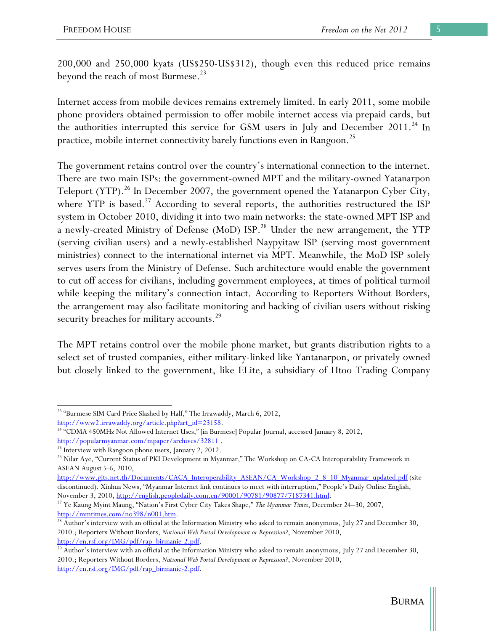200,000 and 250,000 kyats (US\$250-US\$312), though even this reduced price remains beyond the reach of most Burmese.<sup>23</sup>

Internet access from mobile devices remains extremely limited. In early 2011, some mobile phone providers obtained permission to offer mobile internet access via prepaid cards, but the authorities interrupted this service for GSM users in July and December 2011.<sup>24</sup> In practice, mobile internet connectivity barely functions even in Rangoon.<sup>25</sup>

The government retains control over the country's international connection to the internet. There are two main ISPs: the government-owned MPT and the military-owned Yatanarpon Teleport (YTP).<sup>26</sup> In December 2007, the government opened the Yatanarpon Cyber City, where YTP is based.<sup>27</sup> According to several reports, the authorities restructured the ISP system in October 2010, dividing it into two main networks: the state-owned MPT ISP and a newly-created Ministry of Defense (MoD) ISP.<sup>28</sup> Under the new arrangement, the YTP (serving civilian users) and a newly-established Naypyitaw ISP (serving most government ministries) connect to the international internet via MPT. Meanwhile, the MoD ISP solely serves users from the Ministry of Defense. Such architecture would enable the government to cut off access for civilians, including government employees, at times of political turmoil while keeping the military's connection intact. According to Reporters Without Borders, the arrangement may also facilitate monitoring and hacking of civilian users without risking security breaches for military accounts.<sup>29</sup>

The MPT retains control over the mobile phone market, but grants distribution rights to a select set of trusted companies, either military-linked like Yantanarpon, or privately owned but closely linked to the government, like ELite, a subsidiary of Htoo Trading Company

 <sup>23</sup> "Burmese SIM Card Price Slashed by Half," The Irrawaddy, March 6, 2012,

http://www2.irrawaddy.org/article.php?art\_id=23158.<br><sup>24</sup> "CDMA 450MHz Not Allowed Internet Uses," [in Burmese] Popular Journal, accessed January 8, 2012,

http://popularmyanmar.com/mpaper/archives/32811.<br><sup>25</sup> Interview with Rangoon phone users, January 2, 2012.

<sup>&</sup>lt;sup>26</sup> Nilar Aye, "Current Status of PKI Development in Myanmar," The Workshop on CA-CA Interoperability Framework in ASEAN August 5-6, 2010,

http://www.gits.net.th/Documents/CACA\_Interoperability\_ASEAN/CA\_Workshop\_2\_8\_10\_Myanmar\_updated.pdf (site discontinued). Xinhua News, "Myanmar Internet link continues to meet with interruption," People's Daily Online English, November 3, 2010, http://english.peopledaily.com.cn/90001/90781/90877/7187341.html.

<sup>&</sup>lt;sup>27</sup> Ye Kaung Myint Maung, "Nation's First Cyber City Takes Shape," *The Myanmar Times*, December 24–30, 2007,

http://mmtimes.com/no398/n001.htm.<br><sup>28</sup> Author's interview with an official at the Information Ministry who asked to remain anonymous, July 27 and December 30, 2010.; Reporters Without Borders, *National Web Portal Development or Repression?*, November 2010,

http://en.rsf.org/IMG/pdf/rap\_birmanie-2.pdf.<br><sup>29</sup> Author's interview with an official at the Information Ministry who asked to remain anonymous, July 27 and December 30, 2010.; Reporters Without Borders, *National Web Portal Development or Repression?*, November 2010, http://en.rsf.org/IMG/pdf/rap\_birmanie-2.pdf.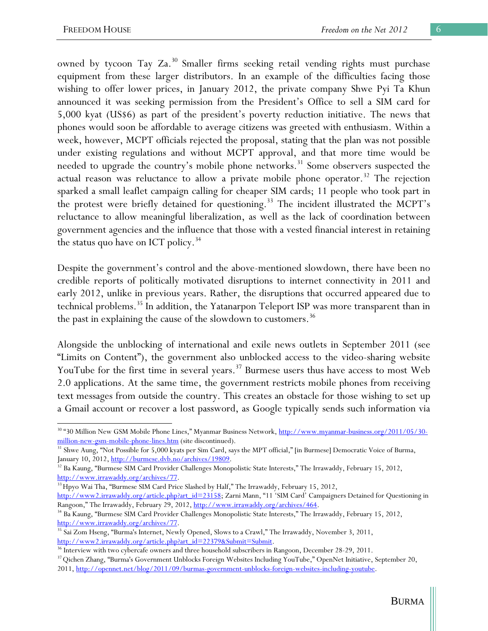owned by tycoon Tay Za.<sup>30</sup> Smaller firms seeking retail vending rights must purchase equipment from these larger distributors. In an example of the difficulties facing those wishing to offer lower prices, in January 2012, the private company Shwe Pyi Ta Khun announced it was seeking permission from the President's Office to sell a SIM card for 5,000 kyat (US\$6) as part of the president's poverty reduction initiative. The news that phones would soon be affordable to average citizens was greeted with enthusiasm. Within a week, however, MCPT officials rejected the proposal, stating that the plan was not possible under existing regulations and without MCPT approval, and that more time would be needed to upgrade the country's mobile phone networks.<sup>31</sup> Some observers suspected the actual reason was reluctance to allow a private mobile phone operator.<sup>32</sup> The rejection sparked a small leaflet campaign calling for cheaper SIM cards; 11 people who took part in the protest were briefly detained for questioning.<sup>33</sup> The incident illustrated the MCPT's reluctance to allow meaningful liberalization, as well as the lack of coordination between government agencies and the influence that those with a vested financial interest in retaining the status quo have on ICT policy.<sup>34</sup>

Despite the government's control and the above-mentioned slowdown, there have been no credible reports of politically motivated disruptions to internet connectivity in 2011 and early 2012, unlike in previous years. Rather, the disruptions that occurred appeared due to technical problems.<sup>35</sup> In addition, the Yatanarpon Teleport ISP was more transparent than in the past in explaining the cause of the slowdown to customers.<sup>36</sup>

Alongside the unblocking of international and exile news outlets in September 2011 (see "Limits on Content"), the government also unblocked access to the video-sharing website YouTube for the first time in several years.<sup>37</sup> Burmese users thus have access to most Web 2.0 applications. At the same time, the government restricts mobile phones from receiving text messages from outside the country. This creates an obstacle for those wishing to set up a Gmail account or recover a lost password, as Google typically sends such information via

http://www2.irrawaddy.org/article.php?art\_id=23158; Zarni Mann, "11 'SIM Card' Campaigners Detained for Questioning in Rangoon," The Irrawaddy, February 29, 2012, http://www.irrawaddy.org/archives/464.

 $\overline{a}$ <sup>30</sup> "30 Million New GSM Mobile Phone Lines," Myanmar Business Network, http://www.myanmar-business.org/2011/05/30-

million-new-gsm-mobile-phone-lines.htm (site discontinued).<br><sup>31</sup> Shwe Aung, "Not Possible for 5,000 kyats per Sim Card, says the MPT official," [in Burmese] Democratic Voice of Burma, January 10, 2012, <u>http://burmese.dvb.no/archives/19809</u>.<br><sup>32</sup> Ba Kaung, "Burmese SIM Card Provider Challenges Monopolistic State Interests," The Irrawaddy, February 15, 2012,

http://www.irrawaddy.org/archives/77.<br><sup>33</sup> Hpyo Wai Tha, "Burmese SIM Card Price Slashed by Half," The Irrawaddy, February 15, 2012,

<sup>34</sup> Ba Kaung, "Burmese SIM Card Provider Challenges Monopolistic State Interests," The Irrawaddy, February 15, 2012,

http://www.irrawaddy.org/archives/77.<br><sup>35</sup> Sai Zom Hseng, "Burma's Internet, Newly Opened, Slows to a Crawl," The Irrawaddy, November 3, 2011, http://www2.irrawaddy.org/article.php?art\_id=22379&Submit=Submit.<br><sup>36</sup> Interview with two cybercafe owners and three household subscribers in Rangoon, December 28-29, 2011.<br><sup>37</sup> Qichen Zhang, "Burma's Government Unblocks F

<sup>2011,</sup> http://opennet.net/blog/2011/09/burmas-government-unblocks-foreign-websites-including-youtube.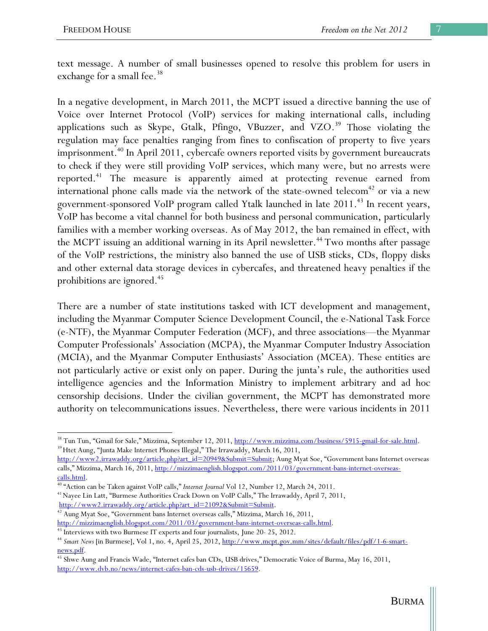text message. A number of small businesses opened to resolve this problem for users in exchange for a small fee.<sup>38</sup>

In a negative development, in March 2011, the MCPT issued a directive banning the use of Voice over Internet Protocol (VoIP) services for making international calls, including applications such as Skype, Gtalk, Pfingo, VBuzzer, and VZO.<sup>39</sup> Those violating the regulation may face penalties ranging from fines to confiscation of property to five years imprisonment.<sup>40</sup> In April 2011, cybercafe owners reported visits by government bureaucrats to check if they were still providing VoIP services, which many were, but no arrests were reported.41 The measure is apparently aimed at protecting revenue earned from international phone calls made via the network of the state-owned telecom<sup>42</sup> or via a new government-sponsored VoIP program called Ytalk launched in late 2011.<sup>43</sup> In recent years, VoIP has become a vital channel for both business and personal communication, particularly families with a member working overseas. As of May 2012, the ban remained in effect, with the MCPT issuing an additional warning in its April newsletter.<sup>44</sup> Two months after passage of the VoIP restrictions, the ministry also banned the use of USB sticks, CDs, floppy disks and other external data storage devices in cybercafes, and threatened heavy penalties if the prohibitions are ignored.<sup>45</sup>

There are a number of state institutions tasked with ICT development and management, including the Myanmar Computer Science Development Council, the e-National Task Force (e-NTF), the Myanmar Computer Federation (MCF), and three associations—the Myanmar Computer Professionals' Association (MCPA), the Myanmar Computer Industry Association (MCIA), and the Myanmar Computer Enthusiasts' Association (MCEA). These entities are not particularly active or exist only on paper. During the junta's rule, the authorities used intelligence agencies and the Information Ministry to implement arbitrary and ad hoc censorship decisions. Under the civilian government, the MCPT has demonstrated more authority on telecommunications issues. Nevertheless, there were various incidents in 2011

<sup>&</sup>lt;sup>38</sup> Tun Tun, "Gmail for Sale," Mizzima, September 12, 2011, <u>http://www.mizzima.com/business/5915-gmail-for-sale.html</u>.<br><sup>39</sup> Htet Aung, "Junta Make Internet Phones Illegal," The Irrawaddy, March 16, 2011,

http://www2.irrawaddy.org/article.php?art\_id=20949&Submit=Submit; Aung Myat Soe, "Government bans Internet overseas calls," Mizzima, March 16, 2011, http://mizzimaenglish.blogspot.com/2011/03/government-bans-internet-overseas-

calls.html. 40 "Action can be Taken against VoIP calls," *Internet Journal* Vol 12, Number 12, March 24, 2011. 41 Nayee Lin Latt, "Burmese Authorities Crack Down on VoIP Calls," The Irrawaddy, April 7, 2011,

http://www2.irrawaddy.org/article.php?art\_id=21092&Submit=Submit.<br><sup>42</sup> Aung Myat Soe, "Government bans Internet overseas calls," Mizzima, March 16, 2011,

http://mizzimaenglish.blogspot.com/2011/03/government-bans-internet-overseas-calls.html<br><sup>43</sup> Interviews with two Burmese IT experts and four journalists, June 20- 25, 2012.<br><sup>44</sup> Smart News [in Burmese], Vol 1, no. 4, April news.pdf.<br><sup>45</sup> Shwe Aung and Francis Wade, "Internet cafes ban CDs, USB drives," Democratic Voice of Burma, May 16, 2011,

http://www.dvb.no/news/internet-cafes-ban-cds-usb-drives/15659.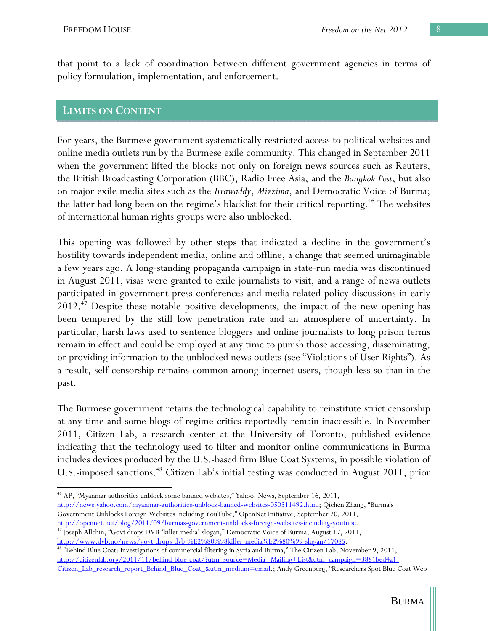that point to a lack of coordination between different government agencies in terms of policy formulation, implementation, and enforcement.

## **LIMITS ON CONTENT**

For years, the Burmese government systematically restricted access to political websites and online media outlets run by the Burmese exile community. This changed in September 2011 when the government lifted the blocks not only on foreign news sources such as Reuters, the British Broadcasting Corporation (BBC), Radio Free Asia, and the *Bangkok Post*, but also on major exile media sites such as the *Irrawaddy*, *Mizzima*, and Democratic Voice of Burma; the latter had long been on the regime's blacklist for their critical reporting.<sup>46</sup> The websites of international human rights groups were also unblocked.

This opening was followed by other steps that indicated a decline in the government's hostility towards independent media, online and offline, a change that seemed unimaginable a few years ago. A long-standing propaganda campaign in state-run media was discontinued in August 2011, visas were granted to exile journalists to visit, and a range of news outlets participated in government press conferences and media-related policy discussions in early  $2012<sup>47</sup>$  Despite these notable positive developments, the impact of the new opening has been tempered by the still low penetration rate and an atmosphere of uncertainty. In particular, harsh laws used to sentence bloggers and online journalists to long prison terms remain in effect and could be employed at any time to punish those accessing, disseminating, or providing information to the unblocked news outlets (see "Violations of User Rights"). As a result, self-censorship remains common among internet users, though less so than in the past.

The Burmese government retains the technological capability to reinstitute strict censorship at any time and some blogs of regime critics reportedly remain inaccessible. In November 2011, Citizen Lab, a research center at the University of Toronto, published evidence indicating that the technology used to filter and monitor online communications in Burma includes devices produced by the U.S.-based firm Blue Coat Systems, in possible violation of U.S.-imposed sanctions.<sup>48</sup> Citizen Lab's initial testing was conducted in August 2011, prior

46 AP, "Myanmar authorities unblock some banned websites," Yahoo! News, September 16, 2011, http://news.yahoo.com/myanmar-authorities-unblock-banned-websites-050311492.html; Qichen Zhang, "Burma's Government Unblocks Foreign Websites Including YouTube," OpenNet Initiative, September 20, 2011,

http://opennet.net/blog/2011/09/burmas-government-unblocks-foreign-websites-including-youtube. 47 Joseph Allchin, "Govt drops DVB 'killer media' slogan," Democratic Voice of Burma, August 17, 2011,

http://www.dvb.no/news/govt-drops-dvb-%E2%80%98killer-media%E2%80%99-slogan/17085.<br><sup>48</sup> "Behind Blue Coat: Investigations of commercial filtering in Syria and Burma," The Citizen Lab, November 9, 2011, http://citizenlab.org/2011/11/behind-blue-coat/?utm\_source=Media+Mailing+List&utm\_campaign=3881bed4a1- Citizen\_Lab\_research\_report\_Behind\_Blue\_Coat\_&utm\_medium=email.; Andy Greenberg, "Researchers Spot Blue Coat Web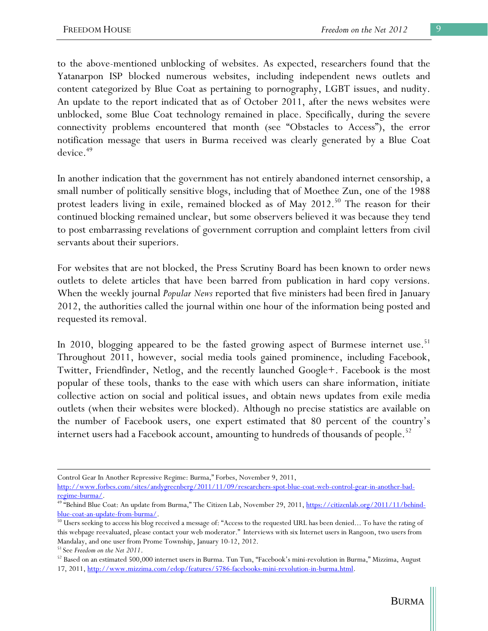to the above-mentioned unblocking of websites. As expected, researchers found that the Yatanarpon ISP blocked numerous websites, including independent news outlets and content categorized by Blue Coat as pertaining to pornography, LGBT issues, and nudity. An update to the report indicated that as of October 2011, after the news websites were unblocked, some Blue Coat technology remained in place. Specifically, during the severe connectivity problems encountered that month (see "Obstacles to Access"), the error notification message that users in Burma received was clearly generated by a Blue Coat device.<sup>49</sup>

In another indication that the government has not entirely abandoned internet censorship, a small number of politically sensitive blogs, including that of Moethee Zun, one of the 1988 protest leaders living in exile, remained blocked as of May 2012.<sup>50</sup> The reason for their continued blocking remained unclear, but some observers believed it was because they tend to post embarrassing revelations of government corruption and complaint letters from civil servants about their superiors.

For websites that are not blocked, the Press Scrutiny Board has been known to order news outlets to delete articles that have been barred from publication in hard copy versions. When the weekly journal *Popular News* reported that five ministers had been fired in January 2012, the authorities called the journal within one hour of the information being posted and requested its removal.

In 2010, blogging appeared to be the fasted growing aspect of Burmese internet use.<sup>51</sup> Throughout 2011, however, social media tools gained prominence, including Facebook, Twitter, Friendfinder, Netlog, and the recently launched Google+. Facebook is the most popular of these tools, thanks to the ease with which users can share information, initiate collective action on social and political issues, and obtain news updates from exile media outlets (when their websites were blocked). Although no precise statistics are available on the number of Facebook users, one expert estimated that 80 percent of the country's internet users had a Facebook account, amounting to hundreds of thousands of people.<sup>52</sup>

Control Gear In Another Repressive Regime: Burma," Forbes, November 9, 2011,

http://www.forbes.com/sites/andygreenberg/2011/11/09/researchers-spot-blue-coat-web-control-gear-in-another-bad-

regime-burma/.<br><sup>49 "</sup>Behind Blue Coat: An update from Burma," The Citizen Lab, November 29, 2011, <u>https://citizenlab.org/2011/11/behind-</u>

blue-coat-an-update-from-burma/.<br><sup>50</sup> Users seeking to access his blog received a message of: "Access to the requested URL has been denied... To have the rating of this webpage reevaluated, please contact your web moderator." Interviews with six Internet users in Rangoon, two users from Mandalay, and one user from Prome Township, January 10-12, 2012.

<sup>&</sup>lt;sup>51</sup> See *Freedom on the Net 2011*.<br><sup>52</sup> Based on an estimated 500,000 internet users in Burma. Tun Tun, "Facebook's mini-revolution in Burma," Mizzima, August 17, 2011, http://www.mizzima.com/edop/features/5786-facebooks-mini-revolution-in-burma.html.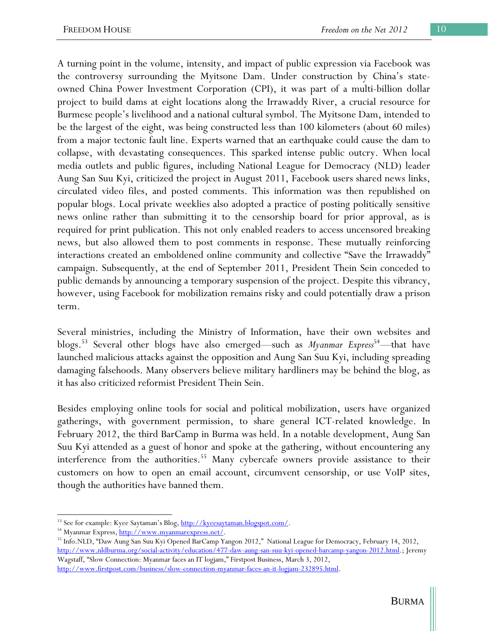A turning point in the volume, intensity, and impact of public expression via Facebook was the controversy surrounding the Myitsone Dam. Under construction by China's stateowned China Power Investment Corporation (CPI), it was part of a multi-billion dollar project to build dams at eight locations along the Irrawaddy River, a crucial resource for Burmese people's livelihood and a national cultural symbol. The Myitsone Dam, intended to be the largest of the eight, was being constructed less than 100 kilometers (about 60 miles) from a major tectonic fault line. Experts warned that an earthquake could cause the dam to collapse, with devastating consequences. This sparked intense public outcry. When local media outlets and public figures, including National League for Democracy (NLD) leader Aung San Suu Kyi, criticized the project in August 2011, Facebook users shared news links, circulated video files, and posted comments. This information was then republished on popular blogs. Local private weeklies also adopted a practice of posting politically sensitive news online rather than submitting it to the censorship board for prior approval, as is required for print publication. This not only enabled readers to access uncensored breaking news, but also allowed them to post comments in response. These mutually reinforcing interactions created an emboldened online community and collective "Save the Irrawaddy" campaign. Subsequently, at the end of September 2011, President Thein Sein conceded to public demands by announcing a temporary suspension of the project. Despite this vibrancy, however, using Facebook for mobilization remains risky and could potentially draw a prison term.

Several ministries, including the Ministry of Information, have their own websites and blogs.<sup>53</sup> Several other blogs have also emerged—such as *Myanmar Express*<sup>54</sup>—that have launched malicious attacks against the opposition and Aung San Suu Kyi, including spreading damaging falsehoods. Many observers believe military hardliners may be behind the blog, as it has also criticized reformist President Thein Sein.

Besides employing online tools for social and political mobilization, users have organized gatherings, with government permission, to share general ICT-related knowledge. In February 2012, the third BarCamp in Burma was held. In a notable development, Aung San Suu Kyi attended as a guest of honor and spoke at the gathering, without encountering any interference from the authorities.<sup>55</sup> Many cybercafe owners provide assistance to their customers on how to open an email account, circumvent censorship, or use VoIP sites, though the authorities have banned them.

http://www.firstpost.com/business/slow-connection-myanmar-faces-an-it-logjam-232895.html.

<sup>&</sup>lt;sup>53</sup> See for example: Kyee Saytaman's Blog, <u>http://kyeesaytaman.blogspot.com/</u>.<br><sup>54</sup> Myanmar Express, <u>http://www.myanmarexpress.net/</u>.<br><sup>55</sup> Info.NLD, "Daw Aung San Suu Kyi Opened BarCamp Yangon 2012," National League for http://www.nldburma.org/social-activity/education/477-daw-aung-san-suu-kyi-opened-barcamp-yangon-2012.html.; Jeremy Wagstaff, "Slow Connection: Myanmar faces an IT logjam," Firstpost Business, March 3, 2012,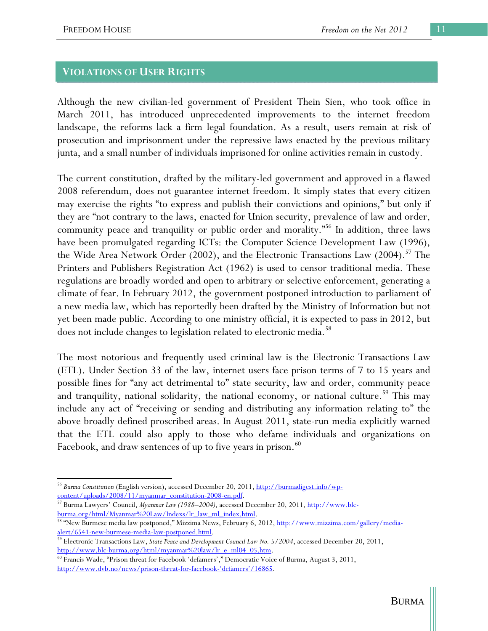### **VIOLATIONS OF USER RIGHTS**

Although the new civilian-led government of President Thein Sien, who took office in March 2011, has introduced unprecedented improvements to the internet freedom landscape, the reforms lack a firm legal foundation. As a result, users remain at risk of prosecution and imprisonment under the repressive laws enacted by the previous military junta, and a small number of individuals imprisoned for online activities remain in custody.

The current constitution, drafted by the military-led government and approved in a flawed 2008 referendum, does not guarantee internet freedom. It simply states that every citizen may exercise the rights "to express and publish their convictions and opinions," but only if they are "not contrary to the laws, enacted for Union security, prevalence of law and order, community peace and tranquility or public order and morality."<sup>56</sup> In addition, three laws have been promulgated regarding ICTs: the Computer Science Development Law (1996), the Wide Area Network Order  $(2002)$ , and the Electronic Transactions Law  $(2004).<sup>57</sup>$  The Printers and Publishers Registration Act (1962) is used to censor traditional media. These regulations are broadly worded and open to arbitrary or selective enforcement, generating a climate of fear. In February 2012, the government postponed introduction to parliament of a new media law, which has reportedly been drafted by the Ministry of Information but not yet been made public. According to one ministry official, it is expected to pass in 2012, but does not include changes to legislation related to electronic media.<sup>58</sup>

The most notorious and frequently used criminal law is the Electronic Transactions Law (ETL). Under Section 33 of the law, internet users face prison terms of 7 to 15 years and possible fines for "any act detrimental to" state security, law and order, community peace and tranquility, national solidarity, the national economy, or national culture.<sup>59</sup> This may include any act of "receiving or sending and distributing any information relating to" the above broadly defined proscribed areas. In August 2011, state-run media explicitly warned that the ETL could also apply to those who defame individuals and organizations on Facebook, and draw sentences of up to five years in prison.<sup>60</sup>

<sup>56</sup> *Burma Constitution* (English version), accessed December 20, 2011, http://burmadigest.info/wp-

content/uploads/2008/11/myanmar\_constitution-2008-en.pdf. 57 Burma Lawyers' Council, *Myanmar Law (1988–2004)*, accessed December 20, 2011, http://www.blcburma.org/html/Myanmar%20Law/Indexs/lr\_law\_ml\_index.html. 58 "New Burmese media law postponed," Mizzima News, February 6, 2012, <u>http://www.mizzima.com/gallery/media-</u>

alert/6541-new-burmese-media-law-postponed.html. 59 Electronic Transactions Law, *State Peace and Development Council Law No. 5/2004*, accessed December 20, 2011,

http://www.blc-burma.org/html/myanmar%20law/lr\_e\_ml04\_05.htm. 60 Francis Wade, "Prison threat for Facebook 'defamers'," Democratic Voice of Burma, August 3, 2011, http://www.dvb.no/news/prison-threat-for-facebook-'defamers'/16865.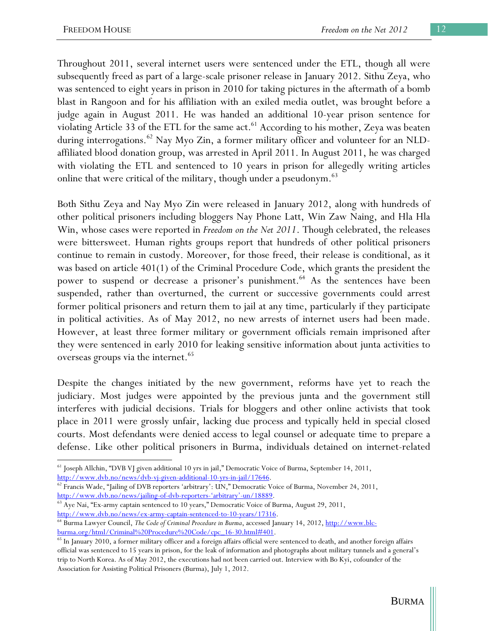Throughout 2011, several internet users were sentenced under the ETL, though all were subsequently freed as part of a large-scale prisoner release in January 2012. Sithu Zeya, who was sentenced to eight years in prison in 2010 for taking pictures in the aftermath of a bomb blast in Rangoon and for his affiliation with an exiled media outlet, was brought before a judge again in August 2011. He was handed an additional 10-year prison sentence for violating Article 33 of the ETL for the same act.<sup>61</sup> According to his mother, Zeya was beaten during interrogations.<sup>62</sup> Nay Myo Zin, a former military officer and volunteer for an NLDaffiliated blood donation group, was arrested in April 2011. In August 2011, he was charged with violating the ETL and sentenced to 10 years in prison for allegedly writing articles online that were critical of the military, though under a pseudonym.<sup>63</sup>

Both Sithu Zeya and Nay Myo Zin were released in January 2012, along with hundreds of other political prisoners including bloggers Nay Phone Latt, Win Zaw Naing, and Hla Hla Win, whose cases were reported in *Freedom on the Net 2011*. Though celebrated, the releases were bittersweet. Human rights groups report that hundreds of other political prisoners continue to remain in custody. Moreover, for those freed, their release is conditional, as it was based on article 401(1) of the Criminal Procedure Code, which grants the president the power to suspend or decrease a prisoner's punishment.<sup>64</sup> As the sentences have been suspended, rather than overturned, the current or successive governments could arrest former political prisoners and return them to jail at any time, particularly if they participate in political activities. As of May 2012, no new arrests of internet users had been made. However, at least three former military or government officials remain imprisoned after they were sentenced in early 2010 for leaking sensitive information about junta activities to overseas groups via the internet.<sup>65</sup>

Despite the changes initiated by the new government, reforms have yet to reach the judiciary. Most judges were appointed by the previous junta and the government still interferes with judicial decisions. Trials for bloggers and other online activists that took place in 2011 were grossly unfair, lacking due process and typically held in special closed courts. Most defendants were denied access to legal counsel or adequate time to prepare a defense. Like other political prisoners in Burma, individuals detained on internet-related

 $\overline{a}$ 61 Joseph Allchin, "DVB VJ given additional 10 yrs in jail," Democratic Voice of Burma, September 14, 2011, http://www.dvb.no/news/dvb-vj-given-additional-10-yrs-in-jail/17646.<br><sup>62</sup> Francis Wade, "Jailing of DVB reporters 'arbitrary': UN," Democratic Voice of Burma, November 24, 2011,

http://www.dvb.no/news/jailing-of-dvb-reporters-'arbitrary'-un/18889. 63 Aye Nai, "Ex-army captain sentenced to 10 years," Democratic Voice of Burma, August 29, 2011, http://www.dvb.no/news/ex-army-captain-sentenced-to-10-years/17316. 64 Burma Lawyer Council, *The Code of Criminal Procedure in Burma*, accessed January 14, 2012, http://www.blc-

 $\frac{\text{burna.org/html/Criminal\%20Procedure\%20Code/cpc\_16-30.html\#401}}{65}$  In January 2010, a former military officer and a foreign affairs official were sentenced to death, and another foreign affairs official was sentenced to 15 years in prison, for the leak of information and photographs about military tunnels and a general's trip to North Korea. As of May 2012, the executions had not been carried out. Interview with Bo Kyi, cofounder of the Association for Assisting Political Prisoners (Burma), July 1, 2012.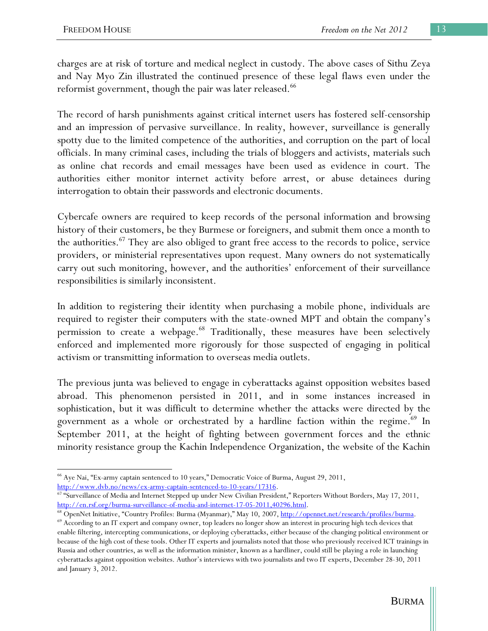charges are at risk of torture and medical neglect in custody. The above cases of Sithu Zeya and Nay Myo Zin illustrated the continued presence of these legal flaws even under the reformist government, though the pair was later released.<sup>66</sup>

The record of harsh punishments against critical internet users has fostered self-censorship and an impression of pervasive surveillance. In reality, however, surveillance is generally spotty due to the limited competence of the authorities, and corruption on the part of local officials. In many criminal cases, including the trials of bloggers and activists, materials such as online chat records and email messages have been used as evidence in court. The authorities either monitor internet activity before arrest, or abuse detainees during interrogation to obtain their passwords and electronic documents.

Cybercafe owners are required to keep records of the personal information and browsing history of their customers, be they Burmese or foreigners, and submit them once a month to the authorities.<sup>67</sup> They are also obliged to grant free access to the records to police, service providers, or ministerial representatives upon request. Many owners do not systematically carry out such monitoring, however, and the authorities' enforcement of their surveillance responsibilities is similarly inconsistent.

In addition to registering their identity when purchasing a mobile phone, individuals are required to register their computers with the state-owned MPT and obtain the company's permission to create a webpage.<sup>68</sup> Traditionally, these measures have been selectively enforced and implemented more rigorously for those suspected of engaging in political activism or transmitting information to overseas media outlets.

The previous junta was believed to engage in cyberattacks against opposition websites based abroad. This phenomenon persisted in 2011, and in some instances increased in sophistication, but it was difficult to determine whether the attacks were directed by the government as a whole or orchestrated by a hardline faction within the regime.<sup>69</sup> In September 2011, at the height of fighting between government forces and the ethnic minority resistance group the Kachin Independence Organization, the website of the Kachin

<sup>66</sup> Aye Nai, "Ex-army captain sentenced to 10 years," Democratic Voice of Burma, August 29, 2011,

http://www.dvb.no/news/ex-army-captain-sentenced-to-10-years/17316.<br><sup>67</sup> "Surveillance of Media and Internet Stepped up under New Civilian President," Reporters Without Borders, May 17, 2011,

http://en.rsf.org/burma-surveillance-of-media-and-internet-17-05-2011,40296.html.<br><sup>68</sup> OpenNet Initiative, "Country Profiles: Burma (Myanmar)," May 10, 2007, <u>http://opennet.net/research/profiles/burma</u>.<br><sup>69</sup> According to

enable filtering, intercepting communications, or deploying cyberattacks, either because of the changing political environment or because of the high cost of these tools. Other IT experts and journalists noted that those who previously received ICT trainings in Russia and other countries, as well as the information minister, known as a hardliner, could still be playing a role in launching cyberattacks against opposition websites. Author's interviews with two journalists and two IT experts, December 28-30, 2011 and January 3, 2012.